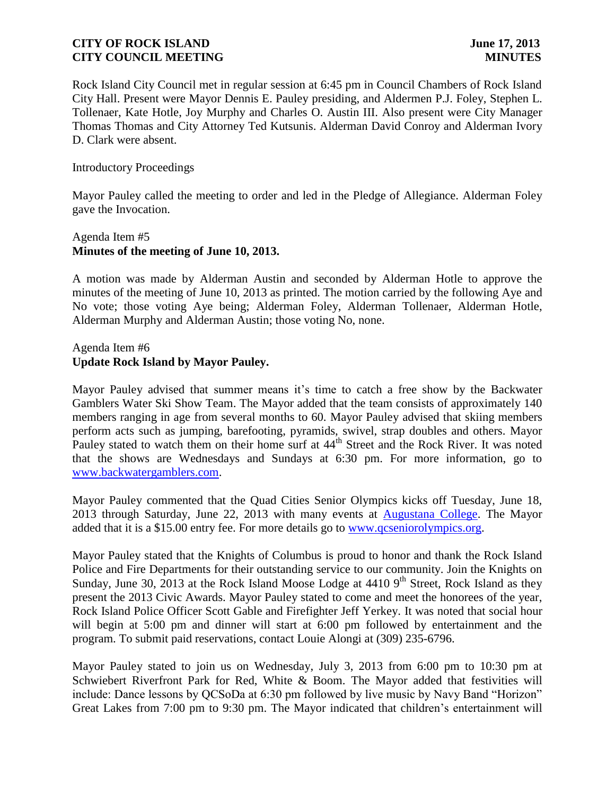Rock Island City Council met in regular session at 6:45 pm in Council Chambers of Rock Island City Hall. Present were Mayor Dennis E. Pauley presiding, and Aldermen P.J. Foley, Stephen L. Tollenaer, Kate Hotle, Joy Murphy and Charles O. Austin III. Also present were City Manager Thomas Thomas and City Attorney Ted Kutsunis. Alderman David Conroy and Alderman Ivory D. Clark were absent.

#### Introductory Proceedings

Mayor Pauley called the meeting to order and led in the Pledge of Allegiance. Alderman Foley gave the Invocation.

## Agenda Item #5 **Minutes of the meeting of June 10, 2013.**

A motion was made by Alderman Austin and seconded by Alderman Hotle to approve the minutes of the meeting of June 10, 2013 as printed. The motion carried by the following Aye and No vote; those voting Aye being; Alderman Foley, Alderman Tollenaer, Alderman Hotle, Alderman Murphy and Alderman Austin; those voting No, none.

### Agenda Item #6 **Update Rock Island by Mayor Pauley.**

Mayor Pauley advised that summer means it's time to catch a free show by the Backwater Gamblers Water Ski Show Team. The Mayor added that the team consists of approximately 140 members ranging in age from several months to 60. Mayor Pauley advised that skiing members perform acts such as jumping, barefooting, pyramids, swivel, strap doubles and others. Mayor Pauley stated to watch them on their home surf at 44<sup>th</sup> Street and the Rock River. It was noted that the shows are Wednesdays and Sundays at 6:30 pm. For more information, go to [www.backwatergamblers.com.](http://www.backwatergamblers.com/)

Mayor Pauley commented that the Quad Cities Senior Olympics kicks off Tuesday, June 18, 2013 through Saturday, June 22, 2013 with many events at [Augustana College.](http://r20.rs6.net/tn.jsp?e=001cfdDmZHZflrYPMXlNHNGZTo0BeOBTltENjdITZU8zUYQnLzDmPt-N8oMpXAoYgsMkATo5AJzhOLwsRvRnmlwZ57_Payf9gO3PSWKlmr-b5Ep4dUha6pHrw==) The Mayor added that it is a \$15.00 entry fee. For more details go to [www.qcseniorolympics.org.](http://www.qcseniorolympics.org/)

Mayor Pauley stated that the Knights of Columbus is proud to honor and thank the Rock Island Police and Fire Departments for their outstanding service to our community. Join the Knights on Sunday, June 30, 2013 at the Rock Island Moose Lodge at  $4410$  9<sup>th</sup> Street, Rock Island as they present the 2013 Civic Awards. Mayor Pauley stated to come and meet the honorees of the year, Rock Island Police Officer Scott Gable and Firefighter Jeff Yerkey. It was noted that social hour will begin at 5:00 pm and dinner will start at 6:00 pm followed by entertainment and the program. To submit paid reservations, contact Louie Alongi at (309) 235-6796.

Mayor Pauley stated to join us on Wednesday, July 3, 2013 from 6:00 pm to 10:30 pm at Schwiebert Riverfront Park for Red, White & Boom. The Mayor added that festivities will include: Dance lessons by QCSoDa at 6:30 pm followed by live music by Navy Band "Horizon" Great Lakes from 7:00 pm to 9:30 pm. The Mayor indicated that children's entertainment will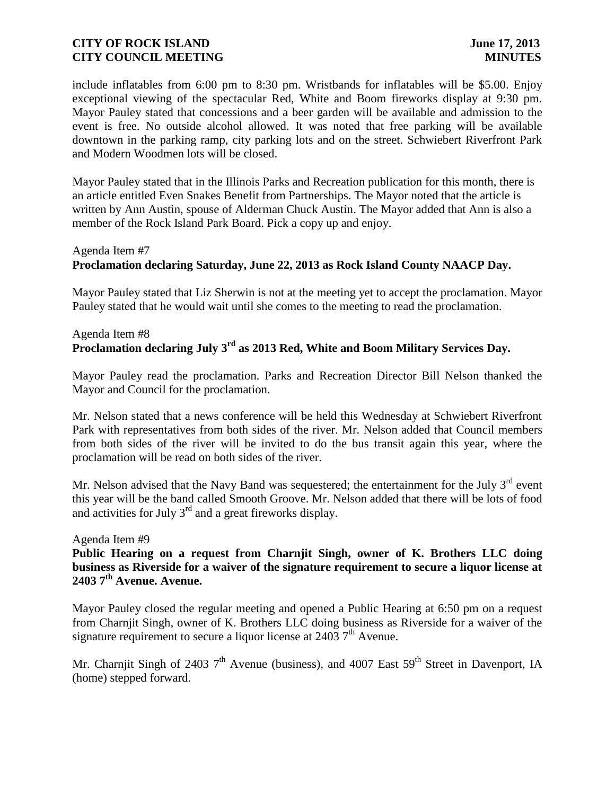include inflatables from 6:00 pm to 8:30 pm. Wristbands for inflatables will be \$5.00. Enjoy exceptional viewing of the spectacular Red, White and Boom fireworks display at 9:30 pm. Mayor Pauley stated that concessions and a beer garden will be available and admission to the event is free. No outside alcohol allowed. It was noted that free parking will be available downtown in the parking ramp, city parking lots and on the street. Schwiebert Riverfront Park and Modern Woodmen lots will be closed.

Mayor Pauley stated that in the Illinois Parks and Recreation publication for this month, there is an article entitled Even Snakes Benefit from Partnerships. The Mayor noted that the article is written by Ann Austin, spouse of Alderman Chuck Austin. The Mayor added that Ann is also a member of the Rock Island Park Board. Pick a copy up and enjoy.

#### Agenda Item #7

## **Proclamation declaring Saturday, June 22, 2013 as Rock Island County NAACP Day.**

Mayor Pauley stated that Liz Sherwin is not at the meeting yet to accept the proclamation. Mayor Pauley stated that he would wait until she comes to the meeting to read the proclamation.

## Agenda Item #8 **Proclamation declaring July 3rd as 2013 Red, White and Boom Military Services Day.**

Mayor Pauley read the proclamation. Parks and Recreation Director Bill Nelson thanked the Mayor and Council for the proclamation.

Mr. Nelson stated that a news conference will be held this Wednesday at Schwiebert Riverfront Park with representatives from both sides of the river. Mr. Nelson added that Council members from both sides of the river will be invited to do the bus transit again this year, where the proclamation will be read on both sides of the river.

Mr. Nelson advised that the Navy Band was sequestered; the entertainment for the July 3<sup>rd</sup> event this year will be the band called Smooth Groove. Mr. Nelson added that there will be lots of food and activities for July 3rd and a great fireworks display.

#### Agenda Item #9

**Public Hearing on a request from Charnjit Singh, owner of K. Brothers LLC doing business as Riverside for a waiver of the signature requirement to secure a liquor license at 2403 7th Avenue. Avenue.** 

Mayor Pauley closed the regular meeting and opened a Public Hearing at 6:50 pm on a request from Charnjit Singh, owner of K. Brothers LLC doing business as Riverside for a waiver of the signature requirement to secure a liquor license at  $24037<sup>th</sup>$  Avenue.

Mr. Charnjit Singh of 2403  $7<sup>th</sup>$  Avenue (business), and 4007 East 59<sup>th</sup> Street in Davenport, IA (home) stepped forward.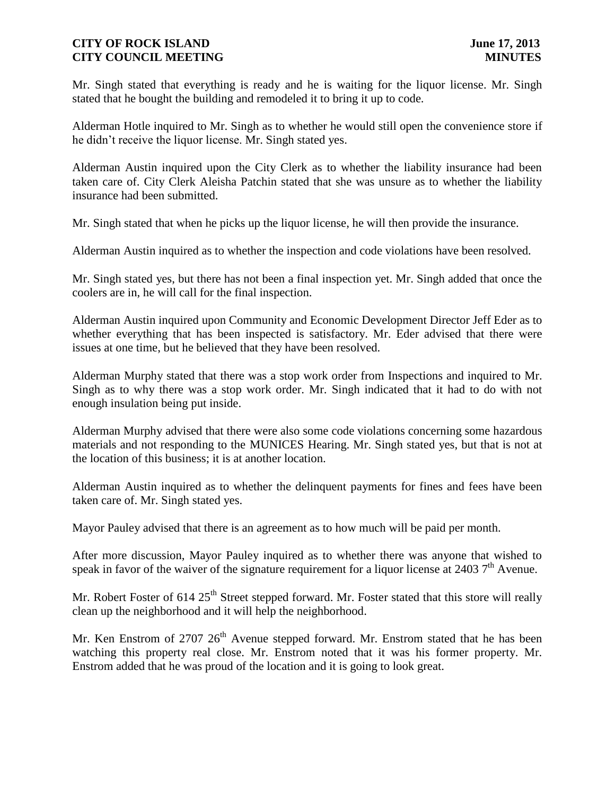Mr. Singh stated that everything is ready and he is waiting for the liquor license. Mr. Singh stated that he bought the building and remodeled it to bring it up to code.

Alderman Hotle inquired to Mr. Singh as to whether he would still open the convenience store if he didn't receive the liquor license. Mr. Singh stated yes.

Alderman Austin inquired upon the City Clerk as to whether the liability insurance had been taken care of. City Clerk Aleisha Patchin stated that she was unsure as to whether the liability insurance had been submitted.

Mr. Singh stated that when he picks up the liquor license, he will then provide the insurance.

Alderman Austin inquired as to whether the inspection and code violations have been resolved.

Mr. Singh stated yes, but there has not been a final inspection yet. Mr. Singh added that once the coolers are in, he will call for the final inspection.

Alderman Austin inquired upon Community and Economic Development Director Jeff Eder as to whether everything that has been inspected is satisfactory. Mr. Eder advised that there were issues at one time, but he believed that they have been resolved.

Alderman Murphy stated that there was a stop work order from Inspections and inquired to Mr. Singh as to why there was a stop work order. Mr. Singh indicated that it had to do with not enough insulation being put inside.

Alderman Murphy advised that there were also some code violations concerning some hazardous materials and not responding to the MUNICES Hearing. Mr. Singh stated yes, but that is not at the location of this business; it is at another location.

Alderman Austin inquired as to whether the delinquent payments for fines and fees have been taken care of. Mr. Singh stated yes.

Mayor Pauley advised that there is an agreement as to how much will be paid per month.

After more discussion, Mayor Pauley inquired as to whether there was anyone that wished to speak in favor of the waiver of the signature requirement for a liquor license at 2403  $7<sup>th</sup>$  Avenue.

Mr. Robert Foster of  $614.25<sup>th</sup>$  Street stepped forward. Mr. Foster stated that this store will really clean up the neighborhood and it will help the neighborhood.

Mr. Ken Enstrom of 2707  $26<sup>th</sup>$  Avenue stepped forward. Mr. Enstrom stated that he has been watching this property real close. Mr. Enstrom noted that it was his former property. Mr. Enstrom added that he was proud of the location and it is going to look great.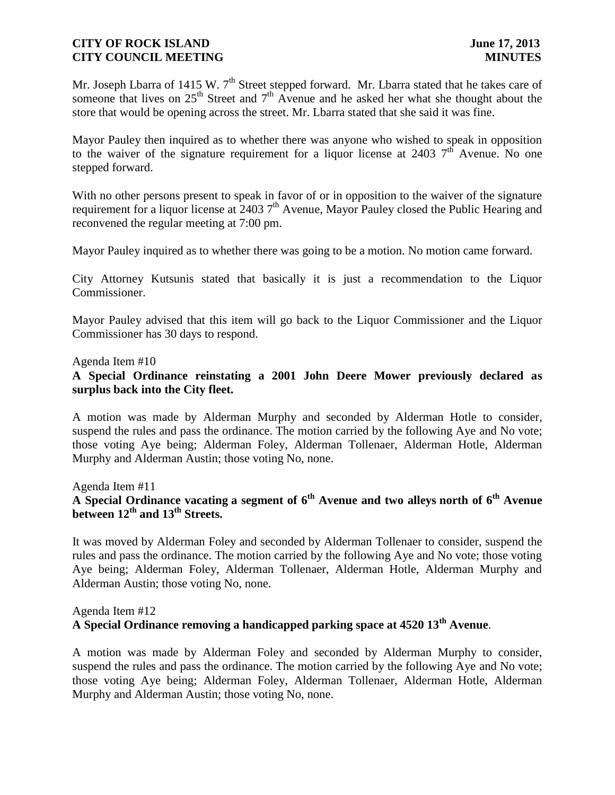Mr. Joseph Lbarra of 1415 W. 7<sup>th</sup> Street stepped forward. Mr. Lbarra stated that he takes care of someone that lives on  $25<sup>th</sup>$  Street and  $7<sup>th</sup>$  Avenue and he asked her what she thought about the store that would be opening across the street. Mr. Lbarra stated that she said it was fine.

Mayor Pauley then inquired as to whether there was anyone who wished to speak in opposition to the waiver of the signature requirement for a liquor license at 2403  $7<sup>th</sup>$  Avenue. No one stepped forward.

With no other persons present to speak in favor of or in opposition to the waiver of the signature requirement for a liquor license at 2403 7<sup>th</sup> Avenue, Mayor Pauley closed the Public Hearing and reconvened the regular meeting at 7:00 pm.

Mayor Pauley inquired as to whether there was going to be a motion. No motion came forward.

City Attorney Kutsunis stated that basically it is just a recommendation to the Liquor Commissioner.

Mayor Pauley advised that this item will go back to the Liquor Commissioner and the Liquor Commissioner has 30 days to respond.

#### Agenda Item #10

### **A Special Ordinance reinstating a 2001 John Deere Mower previously declared as surplus back into the City fleet.**

A motion was made by Alderman Murphy and seconded by Alderman Hotle to consider, suspend the rules and pass the ordinance. The motion carried by the following Aye and No vote; those voting Aye being; Alderman Foley, Alderman Tollenaer, Alderman Hotle, Alderman Murphy and Alderman Austin; those voting No, none.

Agenda Item #11

# **A Special Ordinance vacating a segment of 6th Avenue and two alleys north of 6th Avenue between 12th and 13th Streets.**

 It was moved by Alderman Foley and seconded by Alderman Tollenaer to consider, suspend the rules and pass the ordinance. The motion carried by the following Aye and No vote; those voting Aye being; Alderman Foley, Alderman Tollenaer, Alderman Hotle, Alderman Murphy and Alderman Austin; those voting No, none.

## Agenda Item #12 **A Special Ordinance removing a handicapped parking space at 4520 13th Avenue**.

A motion was made by Alderman Foley and seconded by Alderman Murphy to consider, suspend the rules and pass the ordinance. The motion carried by the following Aye and No vote; those voting Aye being; Alderman Foley, Alderman Tollenaer, Alderman Hotle, Alderman Murphy and Alderman Austin; those voting No, none.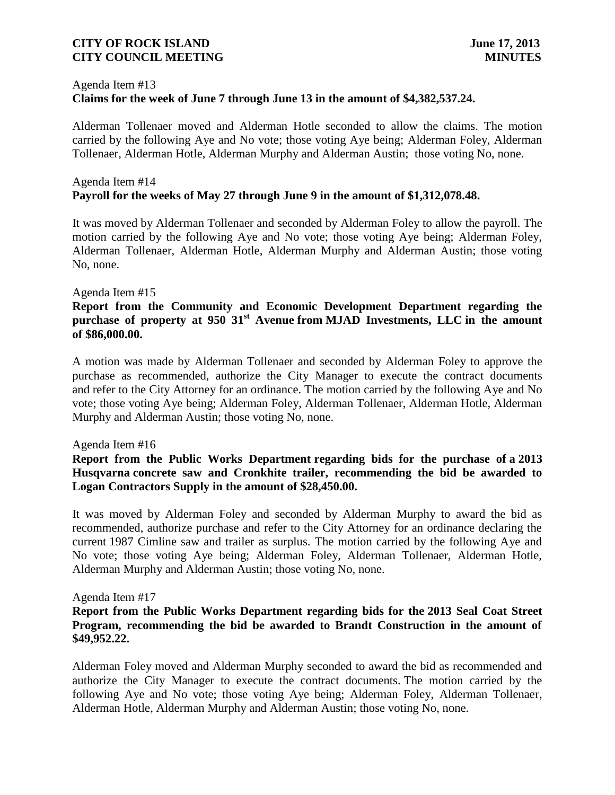## Agenda Item #13 **Claims for the week of June 7 through June 13 in the amount of \$4,382,537.24.**

 Alderman Tollenaer moved and Alderman Hotle seconded to allow the claims. The motion carried by the following Aye and No vote; those voting Aye being; Alderman Foley, Alderman Tollenaer, Alderman Hotle, Alderman Murphy and Alderman Austin; those voting No, none.

### Agenda Item #14 **Payroll for the weeks of May 27 through June 9 in the amount of \$1,312,078.48.**

It was moved by Alderman Tollenaer and seconded by Alderman Foley to allow the payroll. The motion carried by the following Aye and No vote; those voting Aye being; Alderman Foley, Alderman Tollenaer, Alderman Hotle, Alderman Murphy and Alderman Austin; those voting No, none.

### Agenda Item #15

### **Report from the Community and Economic Development Department regarding the purchase of property at 950 31st Avenue from MJAD Investments, LLC in the amount of \$86,000.00.**

A motion was made by Alderman Tollenaer and seconded by Alderman Foley to approve the purchase as recommended, authorize the City Manager to execute the contract documents and refer to the City Attorney for an ordinance. The motion carried by the following Aye and No vote; those voting Aye being; Alderman Foley, Alderman Tollenaer, Alderman Hotle, Alderman Murphy and Alderman Austin; those voting No, none.

### Agenda Item #16

## **Report from the Public Works Department regarding bids for the purchase of a 2013 Husqvarna concrete saw and Cronkhite trailer, recommending the bid be awarded to Logan Contractors Supply in the amount of \$28,450.00.**

It was moved by Alderman Foley and seconded by Alderman Murphy to award the bid as recommended, authorize purchase and refer to the City Attorney for an ordinance declaring the current 1987 Cimline saw and trailer as surplus. The motion carried by the following Aye and No vote; those voting Aye being; Alderman Foley, Alderman Tollenaer, Alderman Hotle, Alderman Murphy and Alderman Austin; those voting No, none.

### Agenda Item #17

## **Report from the Public Works Department regarding bids for the 2013 Seal Coat Street Program, recommending the bid be awarded to Brandt Construction in the amount of \$49,952.22.**

Alderman Foley moved and Alderman Murphy seconded to award the bid as recommended and authorize the City Manager to execute the contract documents. The motion carried by the following Aye and No vote; those voting Aye being; Alderman Foley, Alderman Tollenaer, Alderman Hotle, Alderman Murphy and Alderman Austin; those voting No, none.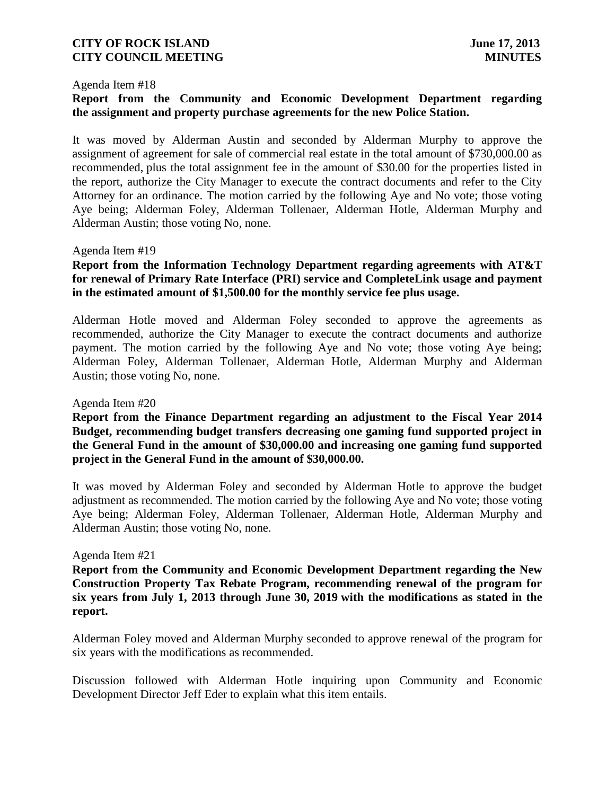#### Agenda Item #18

## **Report from the Community and Economic Development Department regarding the assignment and property purchase agreements for the new Police Station.**

It was moved by Alderman Austin and seconded by Alderman Murphy to approve the assignment of agreement for sale of commercial real estate in the total amount of \$730,000.00 as recommended, plus the total assignment fee in the amount of \$30.00 for the properties listed in the report, authorize the City Manager to execute the contract documents and refer to the City Attorney for an ordinance. The motion carried by the following Aye and No vote; those voting Aye being; Alderman Foley, Alderman Tollenaer, Alderman Hotle, Alderman Murphy and Alderman Austin; those voting No, none.

#### Agenda Item #19

## **Report from the Information Technology Department regarding agreements with AT&T for renewal of Primary Rate Interface (PRI) service and CompleteLink usage and payment in the estimated amount of \$1,500.00 for the monthly service fee plus usage.**

Alderman Hotle moved and Alderman Foley seconded to approve the agreements as recommended, authorize the City Manager to execute the contract documents and authorize payment. The motion carried by the following Aye and No vote; those voting Aye being; Alderman Foley, Alderman Tollenaer, Alderman Hotle, Alderman Murphy and Alderman Austin; those voting No, none.

#### Agenda Item #20

## **Report from the Finance Department regarding an adjustment to the Fiscal Year 2014 Budget, recommending budget transfers decreasing one gaming fund supported project in the General Fund in the amount of \$30,000.00 and increasing one gaming fund supported project in the General Fund in the amount of \$30,000.00.**

It was moved by Alderman Foley and seconded by Alderman Hotle to approve the budget adjustment as recommended. The motion carried by the following Aye and No vote; those voting Aye being; Alderman Foley, Alderman Tollenaer, Alderman Hotle, Alderman Murphy and Alderman Austin; those voting No, none.

#### Agenda Item #21

**Report from the Community and Economic Development Department regarding the New Construction Property Tax Rebate Program, recommending renewal of the program for six years from July 1, 2013 through June 30, 2019 with the modifications as stated in the report.** 

Alderman Foley moved and Alderman Murphy seconded to approve renewal of the program for six years with the modifications as recommended.

Discussion followed with Alderman Hotle inquiring upon Community and Economic Development Director Jeff Eder to explain what this item entails.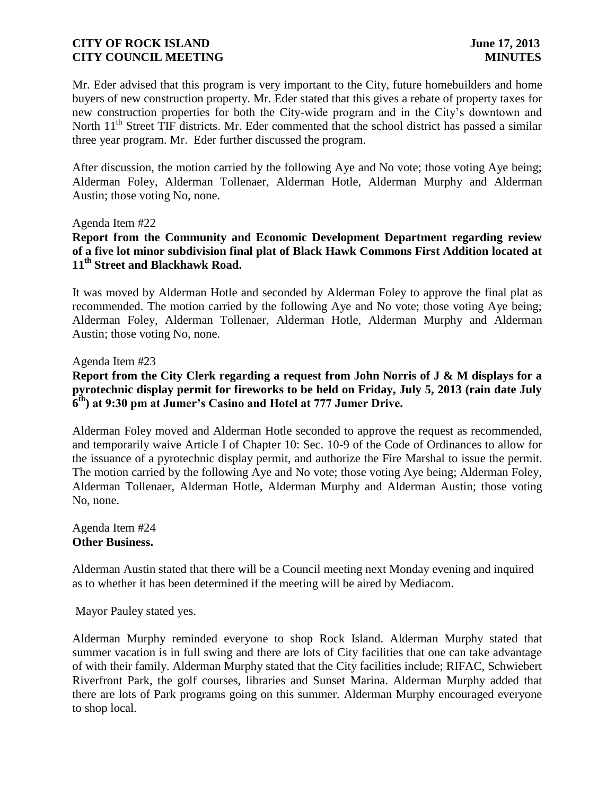Mr. Eder advised that this program is very important to the City, future homebuilders and home buyers of new construction property. Mr. Eder stated that this gives a rebate of property taxes for new construction properties for both the City-wide program and in the City's downtown and North 11<sup>th</sup> Street TIF districts. Mr. Eder commented that the school district has passed a similar three year program. Mr. Eder further discussed the program.

After discussion, the motion carried by the following Aye and No vote; those voting Aye being; Alderman Foley, Alderman Tollenaer, Alderman Hotle, Alderman Murphy and Alderman Austin; those voting No, none.

#### Agenda Item #22

**Report from the Community and Economic Development Department regarding review of a five lot minor subdivision final plat of Black Hawk Commons First Addition located at 11th Street and Blackhawk Road.** 

It was moved by Alderman Hotle and seconded by Alderman Foley to approve the final plat as recommended. The motion carried by the following Aye and No vote; those voting Aye being; Alderman Foley, Alderman Tollenaer, Alderman Hotle, Alderman Murphy and Alderman Austin; those voting No, none.

#### Agenda Item #23

**Report from the City Clerk regarding a request from John Norris of J & M displays for a pyrotechnic display permit for fireworks to be held on Friday, July 5, 2013 (rain date July 6 th) at 9:30 pm at Jumer's Casino and Hotel at 777 Jumer Drive.**

Alderman Foley moved and Alderman Hotle seconded to approve the request as recommended, and temporarily waive Article I of Chapter 10: Sec. 10-9 of the Code of Ordinances to allow for the issuance of a pyrotechnic display permit, and authorize the Fire Marshal to issue the permit. The motion carried by the following Aye and No vote; those voting Aye being; Alderman Foley, Alderman Tollenaer, Alderman Hotle, Alderman Murphy and Alderman Austin; those voting No, none.

Agenda Item #24 **Other Business.**

Alderman Austin stated that there will be a Council meeting next Monday evening and inquired as to whether it has been determined if the meeting will be aired by Mediacom.

Mayor Pauley stated yes.

Alderman Murphy reminded everyone to shop Rock Island. Alderman Murphy stated that summer vacation is in full swing and there are lots of City facilities that one can take advantage of with their family. Alderman Murphy stated that the City facilities include; RIFAC, Schwiebert Riverfront Park, the golf courses, libraries and Sunset Marina. Alderman Murphy added that there are lots of Park programs going on this summer. Alderman Murphy encouraged everyone to shop local.